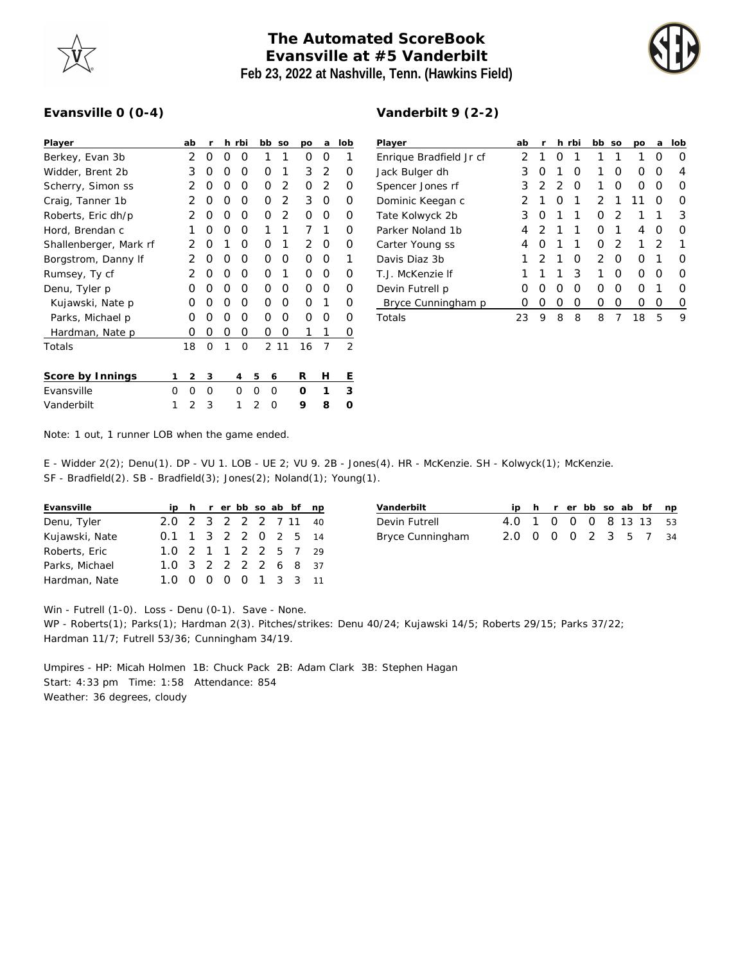

## **The Automated ScoreBook Evansville at #5 Vanderbilt Feb 23, 2022 at Nashville, Tenn. (Hawkins Field)**



## **Evansville 0 (0-4)**

| Player                 |   | ab             | r |   | h rbi    |   | bb | SO | рo | a | lob |
|------------------------|---|----------------|---|---|----------|---|----|----|----|---|-----|
| Berkey, Evan 3b        |   | 2              | O | Ο | Ο        |   | 1  | 1  | Ο  | Ο | 1   |
| Widder, Brent 2b       |   | 3              | Ο | Ο | O        |   | Ο  | 1  | 3  | 2 | Ω   |
| Scherry, Simon ss      |   | 2              | O | 0 | O        |   | O  | 2  | 0  | 2 | Ο   |
| Craig, Tanner 1b       |   | 2              | Ο | O | O        |   | O  | 2  | 3  | O | Ω   |
| Roberts, Eric dh/p     |   | 2              | O | 0 | O        |   | Ο  | 2  | O  | Ω | Ω   |
| Hord, Brendan c        |   | 1              | Ο | 0 | O        |   | 1  | 1  | 7  | 1 | Ω   |
| Shallenberger, Mark rf |   | 2              | Ο | 1 | O        |   | Ο  | 1  | 2  | O | Ω   |
| Borgstrom, Danny If    |   | 2              | 0 | Ο | O        |   | Ο  | O  | Ο  | O | 1   |
| Rumsey, Ty cf          |   | 2              | Ο | Ο | O        |   | Ο  | 1  | Ο  | Ο | Ω   |
| Denu, Tyler p          |   | Ο              | Ο | Ο | O        |   | Ο  | O  | O  | Ω | Ω   |
| Kujawski, Nate p       |   | Ω              | Ο | Ο | O        |   | Ο  | O  | O  | 1 | Ω   |
| Parks, Michael p       |   | Ο              | Ο | Ο | O        |   | Ο  | O  | O  | Ω | Ω   |
| Hardman, Nate p        |   | Ο              | 0 | 0 | 0        |   | Ο  | Ο  | 1  | 1 | Ο   |
| Totals                 |   | 18             | 0 | 1 | $\Omega$ |   | 2  | 11 | 16 | 7 | 2   |
|                        |   |                |   |   |          |   |    |    |    |   |     |
| Score by Innings       | 1 | 2              | 3 |   | 4        | 5 | 6  |    | R  | Н | Ε   |
| Evansville             | Ω | O              | O |   | $\Omega$ | Ω | O  |    | Ω  | 1 | 3   |
| Vanderbilt             | 1 | $\mathfrak{D}$ | 3 |   | 1        | 2 | ∩  |    | 9  | 8 | ∩   |

| Vanderbilt 9 (2-2) |  |  |  |
|--------------------|--|--|--|
|--------------------|--|--|--|

| Player                  | ab | r                |                  | h rbi | bb            | <b>SO</b>     | <b>DO</b>        | a                | lob              |
|-------------------------|----|------------------|------------------|-------|---------------|---------------|------------------|------------------|------------------|
| Enrique Bradfield Jr cf | 2  | 1                | $\left( \right)$ |       | 1             | 1             | 1                | $\left( \right)$ | $\left( \right)$ |
| Jack Bulger dh          | 3  | O                | 1                | Ω     | 1             | Ω             | 0                | $\left( \right)$ | 4                |
| Spencer Jones rf        | 3  | $\mathcal{D}$    | $\mathcal{D}$    | O     | 1             | O             | $\left( \right)$ | $\left( \right)$ | $\left( \right)$ |
| Dominic Keegan c        | 2  | 1                | O                | 1     | 2             | 1             | 11               | Ω                | $\left( \right)$ |
| Tate Kolwyck 2b         | 3  | O                | 1                | 1     | Ω             | $\mathcal{P}$ | 1                | 1                | 3                |
| Parker Noland 1b        | 4  | $\mathcal{P}$    | 1                | 1     | ∩             | 1             | 4                | Ω                | $\left( \right)$ |
| Carter Young ss         | 4  | 0                | 1                | 1     | Ω             | 2             | 1                | $\mathcal{P}$    |                  |
| Davis Diaz 3b           | 1  | $\mathcal{P}$    | 1                | Ω     | $\mathcal{P}$ | Ω             | Ω                |                  | ( )              |
| T. J. McKenzie If       | 1  | 1                | 1                | 3     | 1             | O             | $\left( \right)$ | $\left( \right)$ | $\left( \right)$ |
| Devin Futrell p         | Ω  | $\left( \right)$ | Ω                | Ω     | Ω             | Ω             | Ω                |                  | Ω                |
| Bryce Cunningham p      | Ω  | Ω                | Ω                | Ω     | Ω             | Ω             | Ω                | Ω                | 0                |
| Totals                  | 23 | 9                | 8                | 8     | 8             | 7             | 18               | 5                | 9                |

Note: 1 out, 1 runner LOB when the game ended.

E - Widder 2(2); Denu(1). DP - VU 1. LOB - UE 2; VU 9. 2B - Jones(4). HR - McKenzie. SH - Kolwyck(1); McKenzie.

SF - Bradfield(2). SB - Bradfield(3); Jones(2); Noland(1); Young(1).

| Evansville     |                       |  |  |  | ip h r er bb so ab bf np |
|----------------|-----------------------|--|--|--|--------------------------|
| Denu, Tyler    | 2.0 2 3 2 2 2 7 11 40 |  |  |  |                          |
| Kujawski, Nate | 0.1 1 3 2 2 0 2 5 14  |  |  |  |                          |
| Roberts, Eric  | 1.0 2 1 1 2 2 5 7 29  |  |  |  |                          |
| Parks, Michael | 1.0 3 2 2 2 2 6 8 37  |  |  |  |                          |
| Hardman, Nate  | 1.0 0 0 0 0 1 3 3 11  |  |  |  |                          |

| Vanderbilt       |                        |  |  |  | ip h r er bb so ab bf np |
|------------------|------------------------|--|--|--|--------------------------|
| Devin Futrell    | 4.0 1 0 0 0 8 13 13 53 |  |  |  |                          |
| Bryce Cunningham | 2.0 0 0 0 2 3 5 7 34   |  |  |  |                          |

Win - Futrell (1-0). Loss - Denu (0-1). Save - None.

WP - Roberts(1); Parks(1); Hardman 2(3). Pitches/strikes: Denu 40/24; Kujawski 14/5; Roberts 29/15; Parks 37/22; Hardman 11/7; Futrell 53/36; Cunningham 34/19.

Umpires - HP: Micah Holmen 1B: Chuck Pack 2B: Adam Clark 3B: Stephen Hagan Start: 4:33 pm Time: 1:58 Attendance: 854 Weather: 36 degrees, cloudy